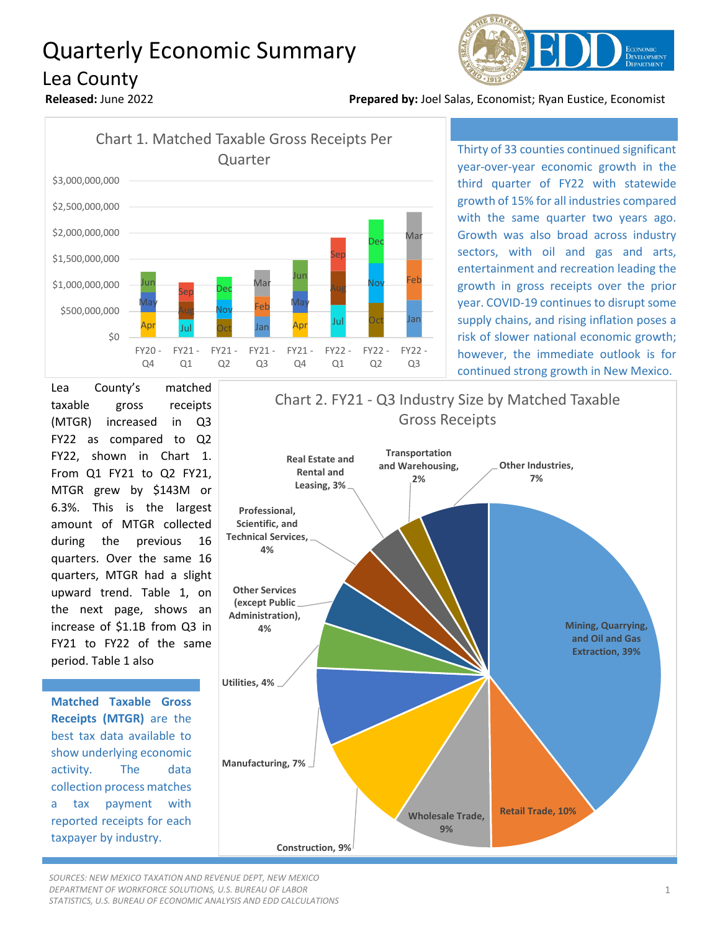## Quarterly Economic Summary







Thirty of 33 counties continued significant year-over-year economic growth in the third quarter of FY22 with statewide growth of 15% for all industries compared with the same quarter two years ago. Growth was also broad across industry sectors, with oil and gas and arts, entertainment and recreation leading the growth in gross receipts over the prior year. COVID-19 continues to disrupt some supply chains, and rising inflation poses a risk of slower national economic growth; however, the immediate outlook is for continued strong growth in New Mexico.

Lea County's matched taxable gross receipts (MTGR) increased in Q3 FY22 as compared to Q2 FY22, shown in Chart 1. From Q1 FY21 to Q2 FY21, MTGR grew by \$143M or 6.3%. This is the largest amount of MTGR collected during the previous 16 quarters. Over the same 16 quarters, MTGR had a slight upward trend. Table 1, on the next page, shows an increase of \$1.1B from Q3 in FY21 to FY22 of the same period. Table 1 also

**Matched Taxable Gross Receipts (MTGR)** are the best tax data available to show underlying economic activity. The data collection process matches a tax payment with reported receipts for each taxpayer by industry.



*SOURCES: NEW MEXICO TAXATION AND REVENUE DEPT, NEW MEXICO DEPARTMENT OF WORKFORCE SOLUTIONS, U.S. BUREAU OF LABOR STATISTICS, U.S. BUREAU OF ECONOMIC ANALYSIS AND EDD CALCULATIONS*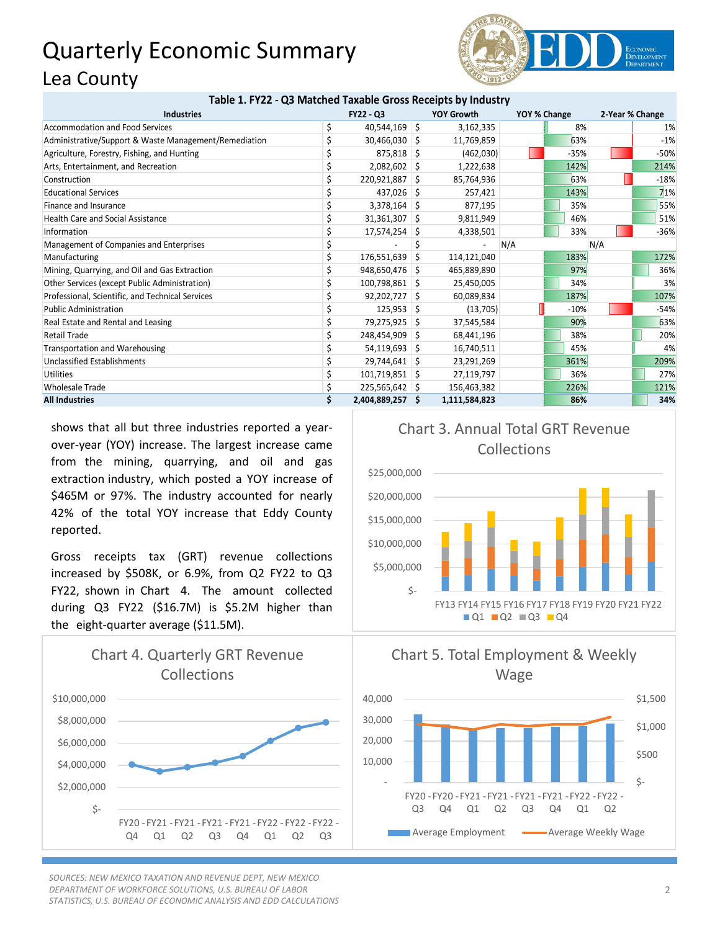## Quarterly Economic Summary Lea County



## **Table 1. FY22 - Q3 Matched Taxable Gross Receipts by Industry**

| <b>Industries</b>                                     | <b>FY22 - Q3</b> |   | <b>YOY Growth</b><br>YOY % Change |     | 2-Year % Change |     |        |
|-------------------------------------------------------|------------------|---|-----------------------------------|-----|-----------------|-----|--------|
| Accommodation and Food Services                       | 40,544,169 \$    |   | 3,162,335                         |     | 8%              |     | 1%     |
| Administrative/Support & Waste Management/Remediation | $30,466,030$ \$  |   | 11,769,859                        |     | 63%             |     | $-1%$  |
| Agriculture, Forestry, Fishing, and Hunting           | $875,818$ \$     |   | (462,030)                         |     | $-35%$          |     | $-50%$ |
| Arts, Entertainment, and Recreation                   | $2,082,602$ \$   |   | 1,222,638                         |     | 142%            |     | 214%   |
| Construction                                          | 220,921,887 \$   |   | 85,764,936                        |     | 63%             |     | $-18%$ |
| <b>Educational Services</b>                           | $437,026$ \$     |   | 257,421                           |     | 143%            |     | 71%    |
| Finance and Insurance                                 | $3,378,164$ \$   |   | 877,195                           |     | 35%             |     | 55%    |
| <b>Health Care and Social Assistance</b>              | $31,361,307$ \$  |   | 9,811,949                         |     | 46%             |     | 51%    |
| Information                                           | 17,574,254 \$    |   | 4,338,501                         |     | 33%             |     | $-36%$ |
| Management of Companies and Enterprises               |                  |   |                                   | N/A |                 | N/A |        |
| Manufacturing                                         | 176,551,639      | S | 114,121,040                       |     | 183%            |     | 172%   |
| Mining, Quarrying, and Oil and Gas Extraction         | 948,650,476 \$   |   | 465,889,890                       |     | 97%             |     | 36%    |
| Other Services (except Public Administration)         | 100,798,861 \$   |   | 25,450,005                        |     | 34%             |     | 3%     |
| Professional, Scientific, and Technical Services      | $92,202,727$ \$  |   | 60,089,834                        |     | 187%            |     | 107%   |
| <b>Public Administration</b>                          | $125,953$ \$     |   | (13,705)                          |     | $-10%$          |     | $-54%$ |
| Real Estate and Rental and Leasing                    | 79,275,925 \$    |   | 37,545,584                        |     | 90%             |     | 63%    |
| <b>Retail Trade</b>                                   | 248,454,909      | S | 68,441,196                        |     | 38%             |     | 20%    |
| <b>Transportation and Warehousing</b>                 | $54,119,693$ \$  |   | 16,740,511                        |     | 45%             |     | 4%     |
| Unclassified Establishments                           | 29,744,641 \$    |   | 23,291,269                        |     | 361%            |     | 209%   |
| <b>Utilities</b>                                      | 101,719,851 \$   |   | 27,119,797                        |     | 36%             |     | 27%    |
| <b>Wholesale Trade</b>                                | $225,565,642$ \$ |   | 156,463,382                       |     | 226%            |     | 121%   |
| <b>All Industries</b>                                 | 2,404,889,257 \$ |   | 1,111,584,823                     |     | 86%             |     | 34%    |

shows that all but three industries reported a yearover-year (YOY) increase. The largest increase came from the mining, quarrying, and oil and gas extraction industry, which posted a YOY increase of \$465M or 97%. The industry accounted for nearly 42% of the total YOY increase that Eddy County reported.

Gross receipts tax (GRT) revenue collections increased by \$508K, or 6.9%, from Q2 FY22 to Q3 FY22, shown in Chart 4. The amount collected during Q3 FY22 (\$16.7M) is \$5.2M higher than the eight-quarter average (\$11.5M).



*SOURCES: NEW MEXICO TAXATION AND REVENUE DEPT, NEW MEXICO DEPARTMENT OF WORKFORCE SOLUTIONS, U.S. BUREAU OF LABOR STATISTICS, U.S. BUREAU OF ECONOMIC ANALYSIS AND EDD CALCULATIONS*